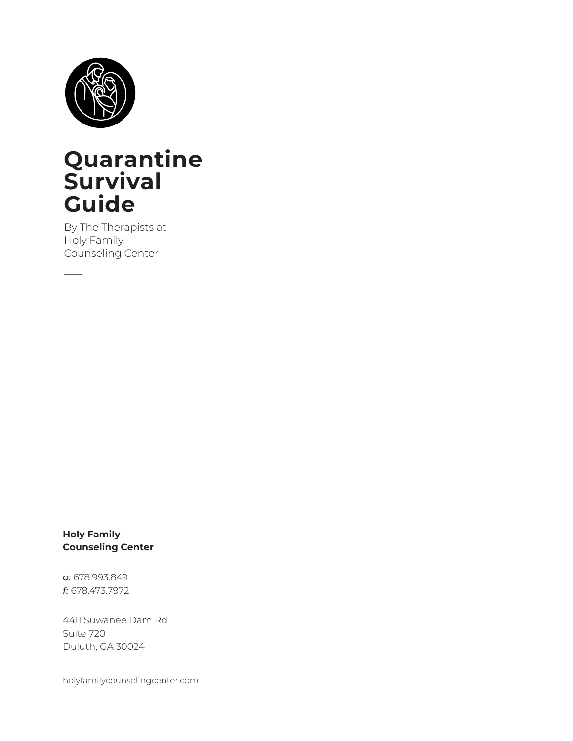

### **Quarantine Survival Guide**

By The Therapists at Holy Family Counseling Center

**\_\_\_\_**

**Holy Family Counseling Center**

*o:* 678.993.849 *f:* 678.473.7972

4411 Suwanee Dam Rd Suite 720 Duluth, GA 30024

holyfamilycounselingcenter.com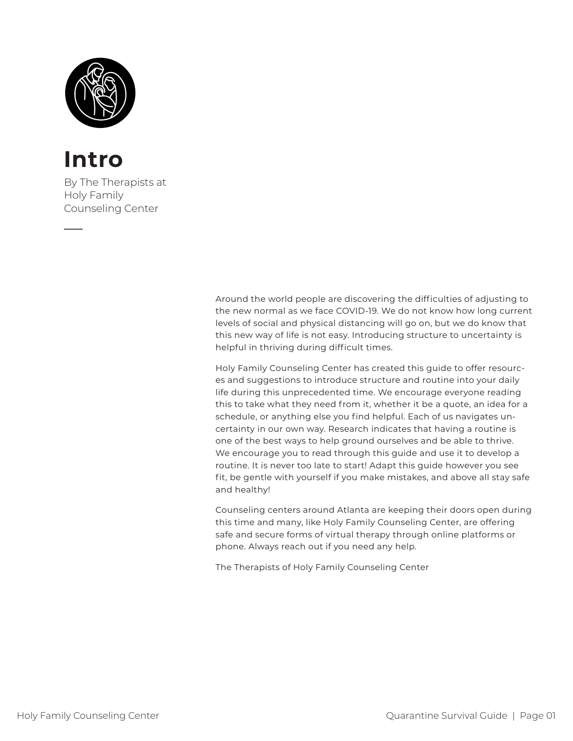

### **Intro**

**\_\_\_\_**

By The Therapists at Holy Family Counseling Center

> Around the world people are discovering the difficulties of adjusting to the new normal as we face COVID-19. We do not know how long current levels of social and physical distancing will go on, but we do know that this new way of life is not easy. Introducing structure to uncertainty is helpful in thriving during difficult times.

Holy Family Counseling Center has created this guide to offer resources and suggestions to introduce structure and routine into your daily life during this unprecedented time. We encourage everyone reading this to take what they need from it, whether it be a quote, an idea for a schedule, or anything else you find helpful. Each of us navigates uncertainty in our own way. Research indicates that having a routine is one of the best ways to help ground ourselves and be able to thrive. We encourage you to read through this guide and use it to develop a routine. It is never too late to start! Adapt this guide however you see fit, be gentle with yourself if you make mistakes, and above all stay safe and healthy!

Counseling centers around Atlanta are keeping their doors open during this time and many, like Holy Family Counseling Center, are offering safe and secure forms of virtual therapy through online platforms or phone. Always reach out if you need any help.

The Therapists of Holy Family Counseling Center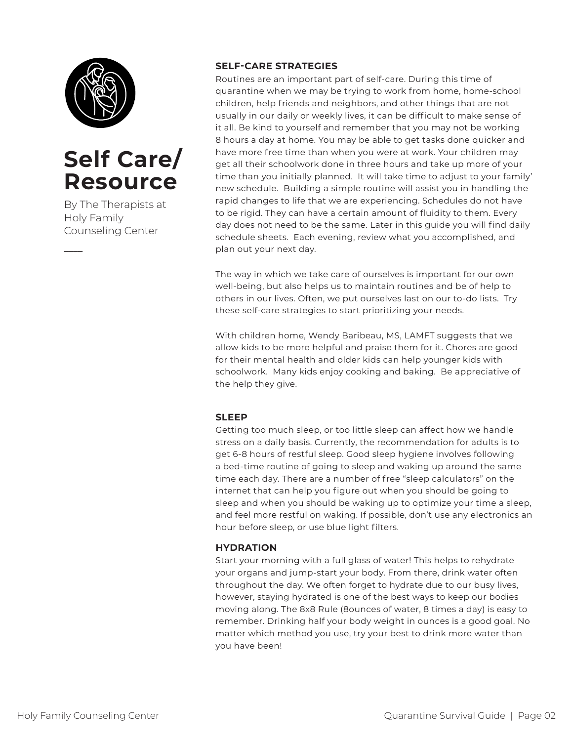

### **Self Care/ Resource**

By The Therapists at Holy Family Counseling Center

**\_\_\_\_**

### **SELF-CARE STRATEGIES**

Routines are an important part of self-care. During this time of quarantine when we may be trying to work from home, home-school children, help friends and neighbors, and other things that are not usually in our daily or weekly lives, it can be difficult to make sense of it all. Be kind to yourself and remember that you may not be working 8 hours a day at home. You may be able to get tasks done quicker and have more free time than when you were at work. Your children may get all their schoolwork done in three hours and take up more of your time than you initially planned. It will take time to adjust to your family' new schedule. Building a simple routine will assist you in handling the rapid changes to life that we are experiencing. Schedules do not have to be rigid. They can have a certain amount of fluidity to them. Every day does not need to be the same. Later in this guide you will find daily schedule sheets. Each evening, review what you accomplished, and plan out your next day.

The way in which we take care of ourselves is important for our own well-being, but also helps us to maintain routines and be of help to others in our lives. Often, we put ourselves last on our to-do lists. Try these self-care strategies to start prioritizing your needs.

With children home, Wendy Baribeau, MS, LAMFT suggests that we allow kids to be more helpful and praise them for it. Chores are good for their mental health and older kids can help younger kids with schoolwork. Many kids enjoy cooking and baking. Be appreciative of the help they give.

### **SLEEP**

Getting too much sleep, or too little sleep can affect how we handle stress on a daily basis. Currently, the recommendation for adults is to get 6-8 hours of restful sleep. Good sleep hygiene involves following a bed-time routine of going to sleep and waking up around the same time each day. There are a number of free "sleep calculators" on the internet that can help you figure out when you should be going to sleep and when you should be waking up to optimize your time a sleep, and feel more restful on waking. If possible, don't use any electronics an hour before sleep, or use blue light filters.

### **HYDRATION**

Start your morning with a full glass of water! This helps to rehydrate your organs and jump-start your body. From there, drink water often throughout the day. We often forget to hydrate due to our busy lives, however, staying hydrated is one of the best ways to keep our bodies moving along. The 8x8 Rule (8ounces of water, 8 times a day) is easy to remember. Drinking half your body weight in ounces is a good goal. No matter which method you use, try your best to drink more water than you have been!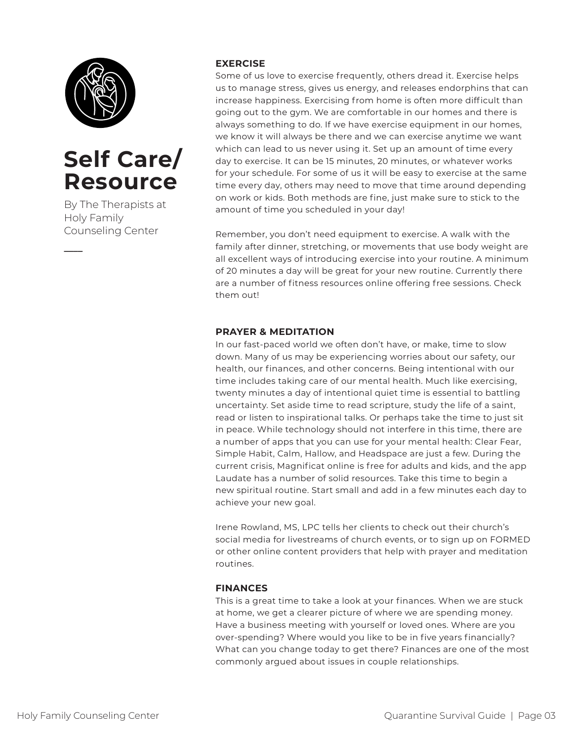

### **Self Care/ Resource**

By The Therapists at Holy Family Counseling Center

**\_\_\_\_**

#### **EXERCISE**

Some of us love to exercise frequently, others dread it. Exercise helps us to manage stress, gives us energy, and releases endorphins that can increase happiness. Exercising from home is often more difficult than going out to the gym. We are comfortable in our homes and there is always something to do. If we have exercise equipment in our homes, we know it will always be there and we can exercise anytime we want which can lead to us never using it. Set up an amount of time every day to exercise. It can be 15 minutes, 20 minutes, or whatever works for your schedule. For some of us it will be easy to exercise at the same time every day, others may need to move that time around depending on work or kids. Both methods are fine, just make sure to stick to the amount of time you scheduled in your day!

Remember, you don't need equipment to exercise. A walk with the family after dinner, stretching, or movements that use body weight are all excellent ways of introducing exercise into your routine. A minimum of 20 minutes a day will be great for your new routine. Currently there are a number of fitness resources online offering free sessions. Check them out!

### **PRAYER & MEDITATION**

In our fast-paced world we often don't have, or make, time to slow down. Many of us may be experiencing worries about our safety, our health, our finances, and other concerns. Being intentional with our time includes taking care of our mental health. Much like exercising, twenty minutes a day of intentional quiet time is essential to battling uncertainty. Set aside time to read scripture, study the life of a saint, read or listen to inspirational talks. Or perhaps take the time to just sit in peace. While technology should not interfere in this time, there are a number of apps that you can use for your mental health: Clear Fear, Simple Habit, Calm, Hallow, and Headspace are just a few. During the current crisis, Magnificat online is free for adults and kids, and the app Laudate has a number of solid resources. Take this time to begin a new spiritual routine. Start small and add in a few minutes each day to achieve your new goal.

Irene Rowland, MS, LPC tells her clients to check out their church's social media for livestreams of church events, or to sign up on FORMED or other online content providers that help with prayer and meditation routines.

### **FINANCES**

This is a great time to take a look at your finances. When we are stuck at home, we get a clearer picture of where we are spending money. Have a business meeting with yourself or loved ones. Where are you over-spending? Where would you like to be in five years financially? What can you change today to get there? Finances are one of the most commonly argued about issues in couple relationships.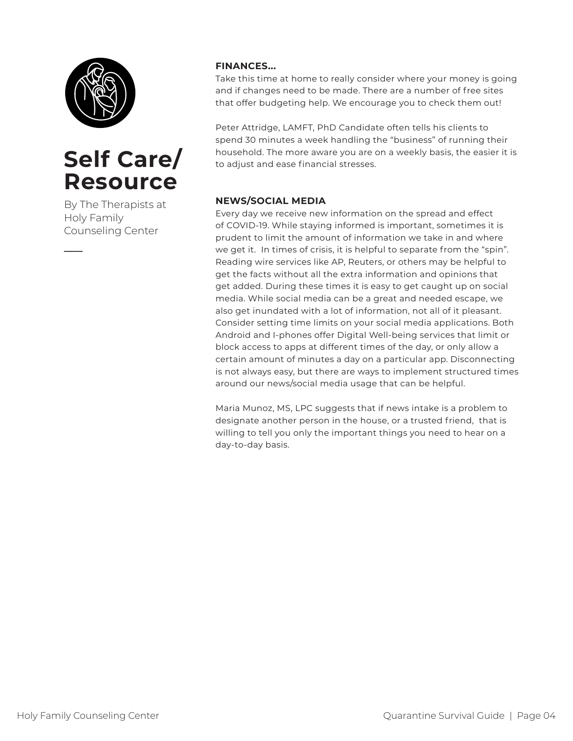

### **Self Care/ Resource**

By The Therapists at Holy Family Counseling Center

**\_\_\_\_**

### **FINANCES...**

Take this time at home to really consider where your money is going and if changes need to be made. There are a number of free sites that offer budgeting help. We encourage you to check them out!

Peter Attridge, LAMFT, PhD Candidate often tells his clients to spend 30 minutes a week handling the "business" of running their household. The more aware you are on a weekly basis, the easier it is to adjust and ease financial stresses.

### **NEWS/SOCIAL MEDIA**

Every day we receive new information on the spread and effect of COVID-19. While staying informed is important, sometimes it is prudent to limit the amount of information we take in and where we get it. In times of crisis, it is helpful to separate from the "spin". Reading wire services like AP, Reuters, or others may be helpful to get the facts without all the extra information and opinions that get added. During these times it is easy to get caught up on social media. While social media can be a great and needed escape, we also get inundated with a lot of information, not all of it pleasant. Consider setting time limits on your social media applications. Both Android and I-phones offer Digital Well-being services that limit or block access to apps at different times of the day, or only allow a certain amount of minutes a day on a particular app. Disconnecting is not always easy, but there are ways to implement structured times around our news/social media usage that can be helpful.

Maria Munoz, MS, LPC suggests that if news intake is a problem to designate another person in the house, or a trusted friend, that is willing to tell you only the important things you need to hear on a day-to-day basis.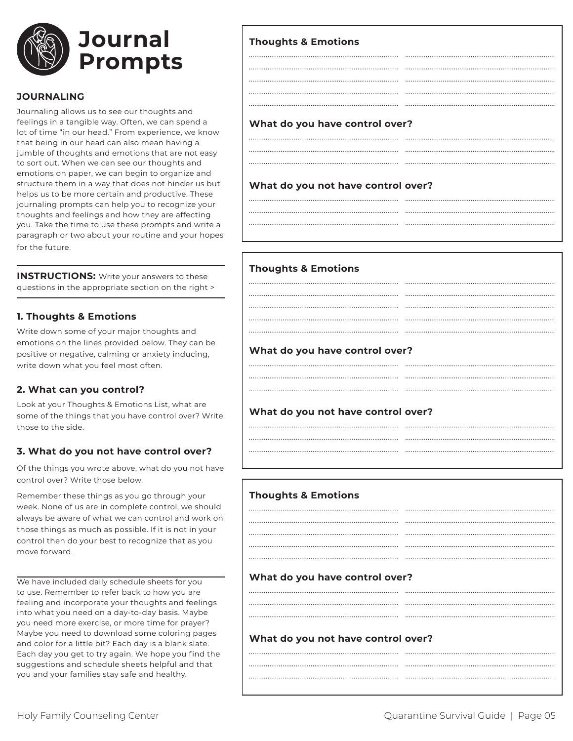

#### **JOURNALING**

Journaling allows us to see our thoughts and feelings in a tangible way. Often, we can spend a lot of time "in our head." From experience, we know that being in our head can also mean having a jumble of thoughts and emotions that are not easy to sort out. When we can see our thoughts and emotions on paper, we can begin to organize and structure them in a way that does not hinder us but helps us to be more certain and productive. These journaling prompts can help you to recognize your thoughts and feelings and how they are affecting you. Take the time to use these prompts and write a paragraph or two about your routine and your hopes for the future.

**INSTRUCTIONS:** Write your answers to these questions in the appropriate section on the right >

#### **1. Thoughts & Emotions**

Write down some of your major thoughts and emotions on the lines provided below. They can be positive or negative, calming or anxiety inducing, write down what you feel most often.

#### **2. What can you control?**

Look at your Thoughts & Emotions List, what are some of the things that you have control over? Write those to the side.

#### **3. What do you not have control over?**

Of the things you wrote above, what do you not have control over? Write those below.

Remember these things as you go through your week. None of us are in complete control, we should always be aware of what we can control and work on those things as much as possible. If it is not in your control then do your best to recognize that as you move forward.

We have included daily schedule sheets for you to use. Remember to refer back to how you are feeling and incorporate your thoughts and feelings into what you need on a day-to-day basis. Maybe you need more exercise, or more time for prayer? Maybe you need to download some coloring pages and color for a little bit? Each day is a blank slate. Each day you get to try again. We hope you find the suggestions and schedule sheets helpful and that you and your families stay safe and healthy.

| <b>Thoughts &amp; Emotions</b>     |  |  |
|------------------------------------|--|--|
|                                    |  |  |
|                                    |  |  |
|                                    |  |  |
|                                    |  |  |
|                                    |  |  |
| What do you have control over?     |  |  |
|                                    |  |  |
|                                    |  |  |
| What do you not have control over? |  |  |
|                                    |  |  |
|                                    |  |  |

| <b>Thoughts &amp; Emotions</b>     |  |
|------------------------------------|--|
|                                    |  |
|                                    |  |
|                                    |  |
|                                    |  |
|                                    |  |
| What do you have control over?     |  |
|                                    |  |
|                                    |  |
|                                    |  |
| What do you not have control over? |  |
|                                    |  |
|                                    |  |
|                                    |  |

| <b>Thoughts &amp; Emotions</b>     |  |  |
|------------------------------------|--|--|
|                                    |  |  |
|                                    |  |  |
|                                    |  |  |
|                                    |  |  |
|                                    |  |  |
| What do you have control over?     |  |  |
|                                    |  |  |
|                                    |  |  |
|                                    |  |  |
| What do you not have control over? |  |  |
|                                    |  |  |
|                                    |  |  |
|                                    |  |  |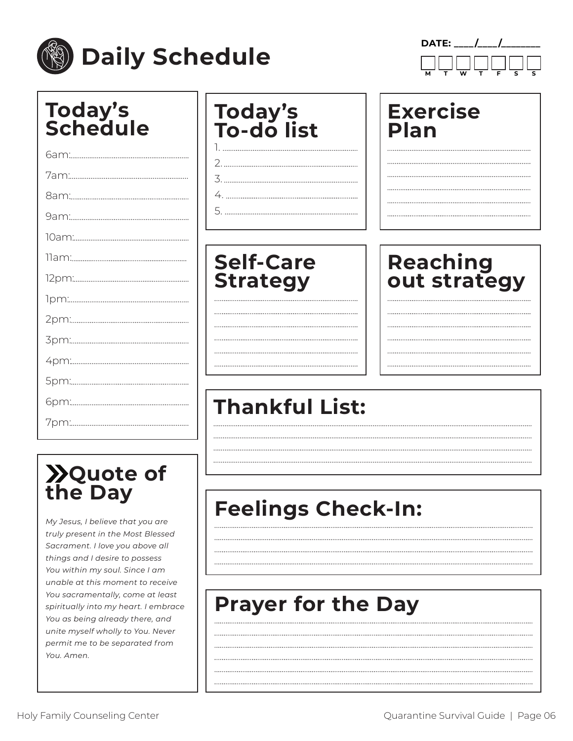

**M T W T F S S**

| <b>Today's<br/>Schedule</b> | <b>Today's<br/>To-do list</b> | <b>Exercise</b><br>Plan |
|-----------------------------|-------------------------------|-------------------------|
|                             |                               |                         |
|                             |                               |                         |
|                             |                               |                         |
|                             |                               |                         |
|                             |                               |                         |
|                             | <b>Self-Care</b>              | Reaching                |
|                             | <b>Strategy</b>               | out strategy            |
|                             |                               |                         |
|                             |                               |                         |
|                             |                               |                         |
|                             |                               |                         |
|                             |                               |                         |
|                             | <b>Thankful List:</b>         |                         |
|                             |                               |                         |

## **Quote of the Day**

*My Jesus, I believe that you are truly present in the Most Blessed Sacrament. I love you above all things and I desire to possess You within my soul. Since I am unable at this moment to receive You sacramentally, come at least spiritually into my heart. I embrace You as being already there, and unite myself wholly to You. Never permit me to be separated from You. Amen.* 

### **Feelings Check-In:**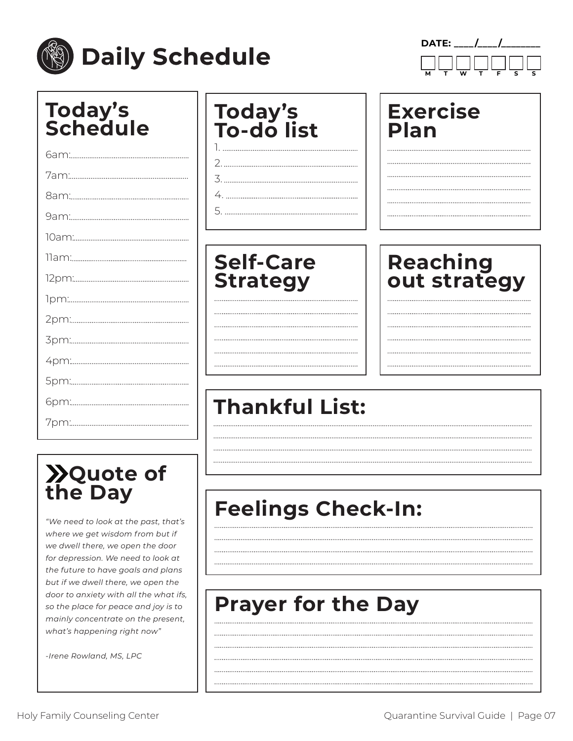

**DATE: \_\_\_\_ /\_\_\_\_ /\_\_\_\_\_\_\_\_ M T W T F S S**

| <b>Today's<br/>Schedule</b> | <b>Today's<br/>To-do list</b> | <b>Exercise</b><br>Plan |
|-----------------------------|-------------------------------|-------------------------|
|                             |                               |                         |
|                             |                               |                         |
|                             |                               |                         |
|                             |                               |                         |
|                             |                               |                         |
|                             | <b>Self-Care</b>              | Reaching                |
|                             | <b>Strategy</b>               | out strategy            |
|                             |                               |                         |
|                             |                               |                         |
|                             |                               |                         |
|                             |                               |                         |
|                             |                               |                         |
|                             | <b>Thankful List:</b>         |                         |
|                             |                               |                         |

## **Quote of the Day**

*"We need to look at the past, that's where we get wisdom from but if we dwell there, we open the door for depression. We need to look at the future to have goals and plans but if we dwell there, we open the door to anxiety with all the what ifs, so the place for peace and joy is to mainly concentrate on the present, what's happening right now"* 

*-Irene Rowland, MS, LPC*

### **Feelings Check-In:**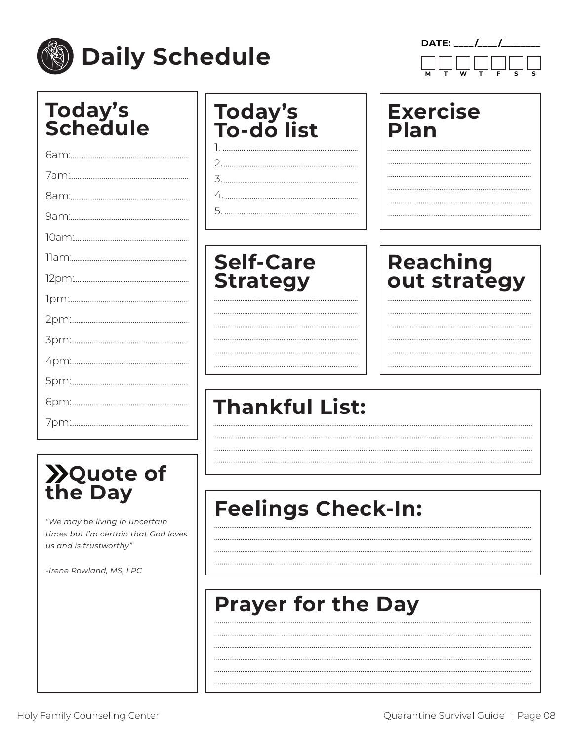

**DATE:** / / **M T W T F S S**

| <b>Today's<br/>Schedule</b> | <b>Today's<br/>To-do list</b> | <b>Exercise</b><br>Plan |
|-----------------------------|-------------------------------|-------------------------|
|                             |                               |                         |
|                             |                               |                         |
|                             |                               |                         |
|                             |                               |                         |
|                             |                               |                         |
|                             | <b>Self-Care</b>              | <b>Reaching</b>         |
|                             | <b>Strategy</b>               | out strategy            |
|                             |                               |                         |
|                             |                               |                         |
|                             |                               |                         |
|                             |                               |                         |
|                             |                               |                         |
|                             | <b>Thankful List:</b>         |                         |
|                             |                               |                         |
|                             |                               |                         |

## **Quote of the Day**

*"We may be living in uncertain times but I'm certain that God loves us and is trustworthy"* 

*-Irene Rowland, MS, LPC*

## **Feelings Check-In:**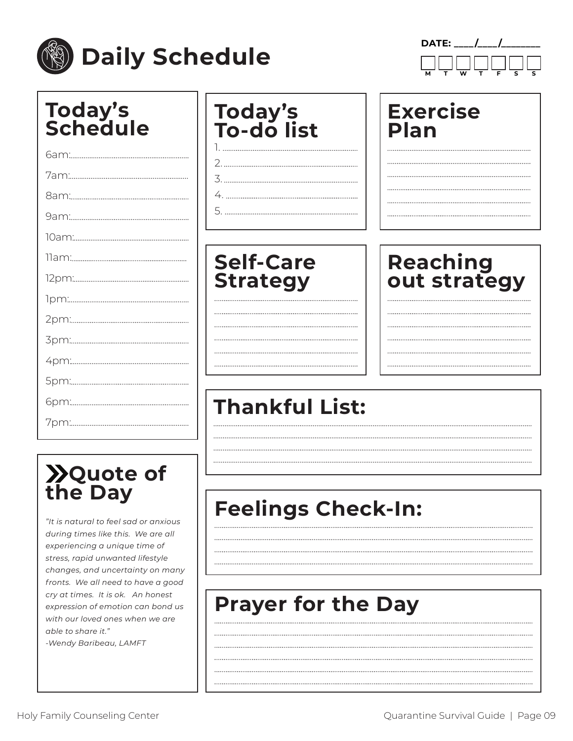

**DATE:** / / **M T W T F S S**

| <b>Today's<br/>Schedule</b> | <b>Today's<br/>To-do list</b> | <b>Exercise</b><br>Plan |
|-----------------------------|-------------------------------|-------------------------|
|                             |                               |                         |
|                             |                               |                         |
|                             |                               |                         |
|                             |                               |                         |
|                             |                               |                         |
|                             | <b>Self-Care</b>              | Reaching                |
|                             | <b>Strategy</b>               | out strategy            |
|                             |                               |                         |
|                             |                               |                         |
|                             |                               |                         |
|                             |                               |                         |
|                             |                               |                         |
|                             | <b>Thankful List:</b>         |                         |
|                             |                               |                         |

## **Quote of the Day**

*"It is natural to feel sad or anxious during times like this. We are all experiencing a unique time of stress, rapid unwanted lifestyle changes, and uncertainty on many fronts. We all need to have a good cry at times. It is ok. An honest expression of emotion can bond us with our loved ones when we are able to share it." -Wendy Baribeau, LAMFT*

### **Feelings Check-In:**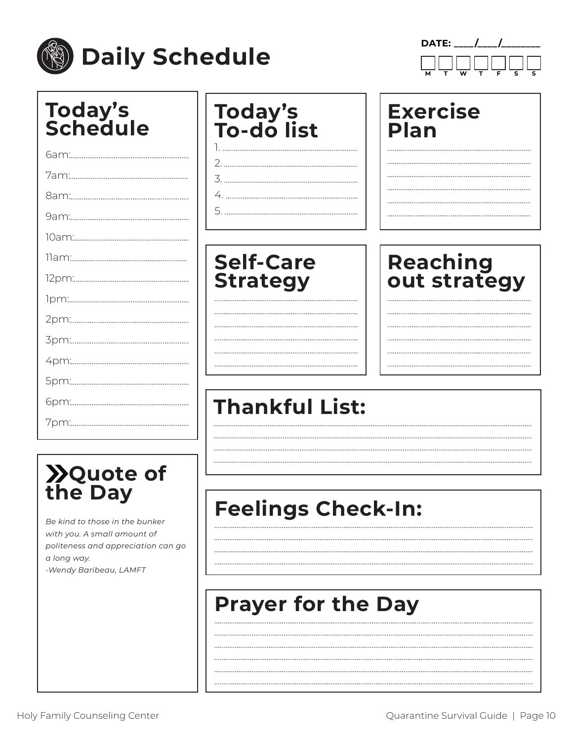

**DATE:** / / **M T W T F S S**

| <b>Today's<br/>Schedule</b> | <b>Today's<br/>To-do list</b> | <b>Exercise</b><br><b>Plan</b> |
|-----------------------------|-------------------------------|--------------------------------|
|                             |                               |                                |
|                             |                               |                                |
|                             |                               |                                |
|                             |                               |                                |
|                             |                               |                                |
|                             | <b>Self-Care</b>              | Reaching                       |
|                             | <b>Strategy</b>               | out strategy                   |
|                             |                               |                                |
|                             |                               |                                |
|                             |                               |                                |
|                             |                               |                                |
|                             |                               |                                |
|                             | <b>Thankful List:</b>         |                                |
|                             |                               |                                |

## **Quote of the Day**

*Be kind to those in the bunker with you. A small amount of politeness and appreciation can go a long way. -Wendy Baribeau, LAMFT*

### **Feelings Check-In:**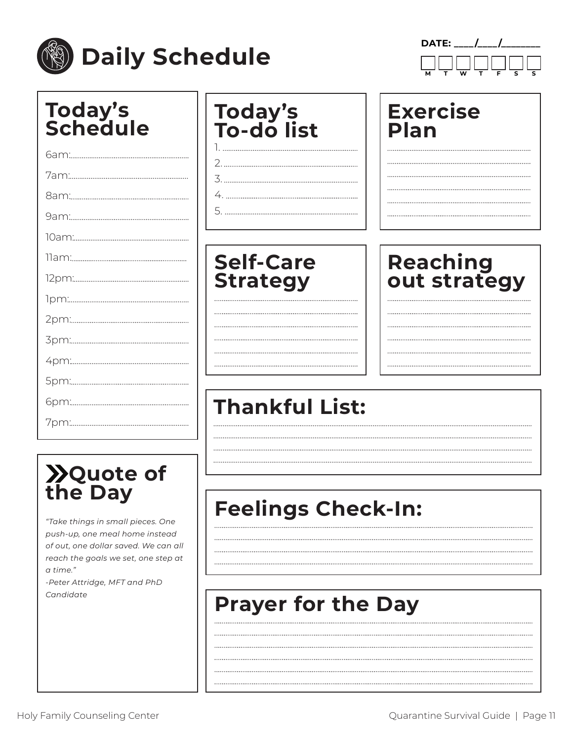

**DATE:** / / **M T W T F S S**

| <b>Today's<br/>Schedule</b> | <b>Today's<br/>To-do list</b> | <b>Exercise</b><br>Plan |
|-----------------------------|-------------------------------|-------------------------|
|                             |                               |                         |
|                             |                               |                         |
|                             |                               |                         |
|                             |                               |                         |
|                             |                               |                         |
|                             | <b>Self-Care</b>              | <b>Reaching</b>         |
|                             | <b>Strategy</b>               | out strategy            |
|                             |                               |                         |
|                             |                               |                         |
|                             |                               |                         |
|                             |                               |                         |
|                             |                               |                         |
|                             | <b>Thankful List:</b>         |                         |
|                             |                               |                         |
|                             |                               |                         |

# **Quote of the Day**

*"Take things in small pieces. One push-up, one meal home instead of out, one dollar saved. We can all reach the goals we set, one step at a time." -Peter Attridge, MFT and PhD Candidate*

## **Feelings Check-In:**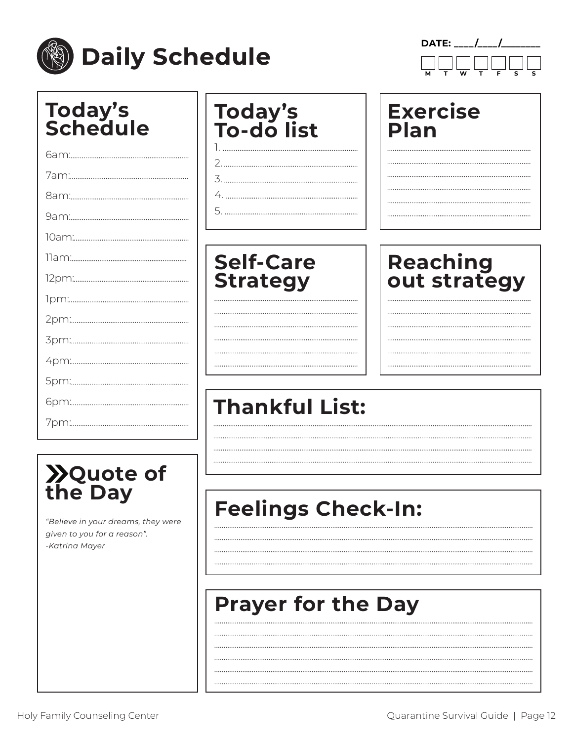

**DATE:** / / **M T W T F S S**

| <b>Today's<br/>Schedule</b> | <b>Today's<br/>To-do list</b> | <b>Exercise</b><br><b>Plan</b> |
|-----------------------------|-------------------------------|--------------------------------|
|                             |                               |                                |
|                             |                               |                                |
|                             |                               |                                |
|                             |                               |                                |
|                             |                               |                                |
|                             | <b>Self-Care</b>              | <b>Reaching</b>                |
|                             | <b>Strategy</b>               | out strategy                   |
|                             |                               |                                |
|                             |                               |                                |
|                             |                               |                                |
|                             |                               |                                |
|                             |                               |                                |
|                             | <b>Thankful List:</b>         |                                |
|                             |                               |                                |
|                             |                               |                                |

## **Quote of the Day**

*"Believe in your dreams, they were given to you for a reason". -Katrina Mayer*

### **Feelings Check-In:**